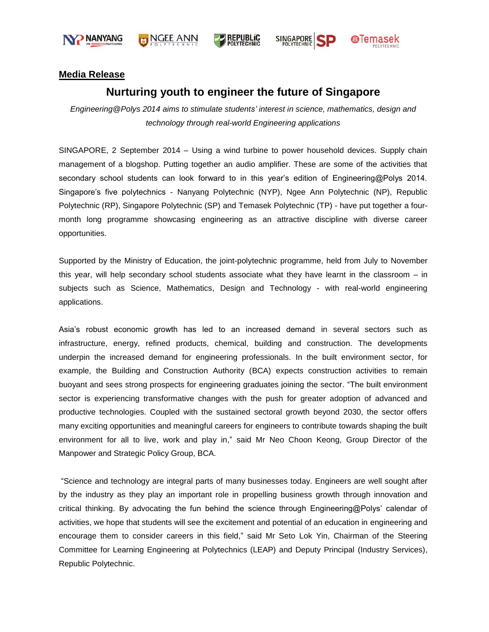





**SINGAPORE** 



### **Media Release**

## **Nurturing youth to engineer the future of Singapore**

*Engineering@Polys 2014 aims to stimulate students' interest in science, mathematics, design and technology through real-world Engineering applications*

SINGAPORE, 2 September 2014 – Using a wind turbine to power household devices. Supply chain management of a blogshop. Putting together an audio amplifier. These are some of the activities that secondary school students can look forward to in this year's edition of Engineering@Polys 2014. Singapore"s five polytechnics - Nanyang Polytechnic (NYP), Ngee Ann Polytechnic (NP), Republic Polytechnic (RP), Singapore Polytechnic (SP) and Temasek Polytechnic (TP) - have put together a fourmonth long programme showcasing engineering as an attractive discipline with diverse career opportunities.

Supported by the Ministry of Education, the joint-polytechnic programme, held from July to November this year, will help secondary school students associate what they have learnt in the classroom – in subjects such as Science, Mathematics, Design and Technology - with real-world engineering applications.

Asia"s robust economic growth has led to an increased demand in several sectors such as infrastructure, energy, refined products, chemical, building and construction. The developments underpin the increased demand for engineering professionals. In the built environment sector, for example, the Building and Construction Authority (BCA) expects construction activities to remain buoyant and sees strong prospects for engineering graduates joining the sector. "The built environment sector is experiencing transformative changes with the push for greater adoption of advanced and productive technologies. Coupled with the sustained sectoral growth beyond 2030, the sector offers many exciting opportunities and meaningful careers for engineers to contribute towards shaping the built environment for all to live, work and play in," said Mr Neo Choon Keong, Group Director of the Manpower and Strategic Policy Group, BCA.

"Science and technology are integral parts of many businesses today. Engineers are well sought after by the industry as they play an important role in propelling business growth through innovation and critical thinking. By advocating the fun behind the science through Engineering@Polys" calendar of activities, we hope that students will see the excitement and potential of an education in engineering and encourage them to consider careers in this field," said Mr Seto Lok Yin, Chairman of the Steering Committee for Learning Engineering at Polytechnics (LEAP) and Deputy Principal (Industry Services), Republic Polytechnic.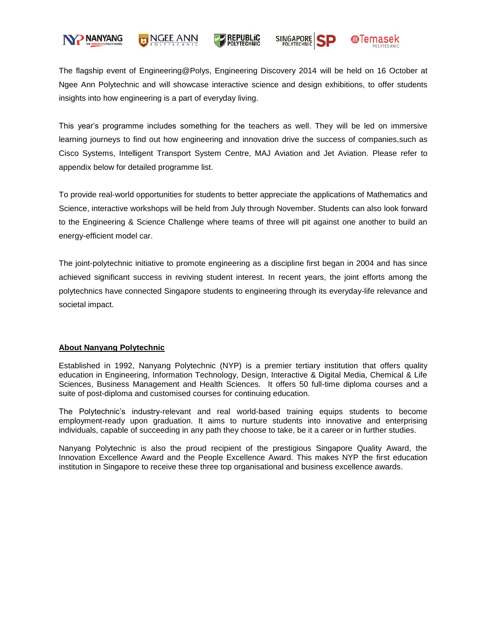

## NGEE ANN



SINGAPORE



The flagship event of Engineering@Polys, Engineering Discovery 2014 will be held on 16 October at Ngee Ann Polytechnic and will showcase interactive science and design exhibitions, to offer students insights into how engineering is a part of everyday living.

This year"s programme includes something for the teachers as well. They will be led on immersive learning journeys to find out how engineering and innovation drive the success of companies,such as Cisco Systems, Intelligent Transport System Centre, MAJ Aviation and Jet Aviation. Please refer to appendix below for detailed programme list.

To provide real-world opportunities for students to better appreciate the applications of Mathematics and Science, interactive workshops will be held from July through November. Students can also look forward to the Engineering & Science Challenge where teams of three will pit against one another to build an energy-efficient model car.

The joint-polytechnic initiative to promote engineering as a discipline first began in 2004 and has since achieved significant success in reviving student interest. In recent years, the joint efforts among the polytechnics have connected Singapore students to engineering through its everyday-life relevance and societal impact.

#### **About Nanyang Polytechnic**

Established in 1992, Nanyang Polytechnic (NYP) is a premier tertiary institution that offers quality education in Engineering, Information Technology, Design, Interactive & Digital Media, Chemical & Life Sciences, Business Management and Health Sciences. It offers 50 full-time diploma courses and a suite of post-diploma and customised courses for continuing education.

The Polytechnic"s industry-relevant and real world-based training equips students to become employment-ready upon graduation. It aims to nurture students into innovative and enterprising individuals, capable of succeeding in any path they choose to take, be it a career or in further studies.

Nanyang Polytechnic is also the proud recipient of the prestigious Singapore Quality Award, the Innovation Excellence Award and the People Excellence Award. This makes NYP the first education institution in Singapore to receive these three top organisational and business excellence awards.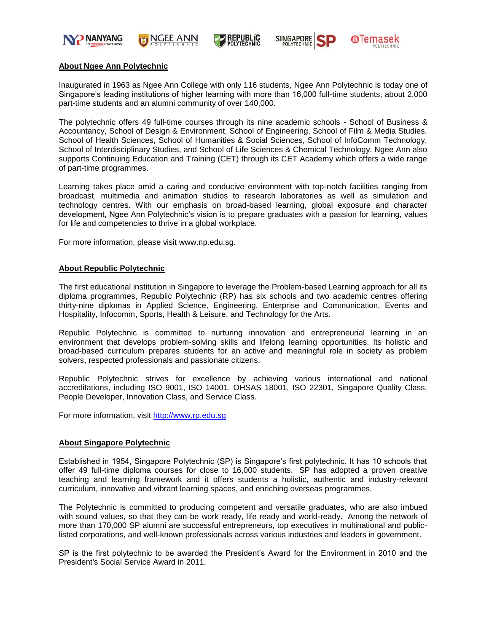

NGEE ANN







#### **About Ngee Ann Polytechnic**

Inaugurated in 1963 as Ngee Ann College with only 116 students, Ngee Ann Polytechnic is today one of Singapore's leading institutions of higher learning with more than 16,000 full-time students, about 2,000 part-time students and an alumni community of over 140,000.

The polytechnic offers 49 full-time courses through its nine academic schools - School of Business & Accountancy, School of Design & Environment, School of Engineering, School of Film & Media Studies, School of Health Sciences, School of Humanities & Social Sciences, School of InfoComm Technology, School of Interdisciplinary Studies, and School of Life Sciences & Chemical Technology. Ngee Ann also supports Continuing Education and Training (CET) through its CET Academy which offers a wide range of part-time programmes.

Learning takes place amid a caring and conducive environment with top-notch facilities ranging from broadcast, multimedia and animation studios to research laboratories as well as simulation and technology centres. With our emphasis on broad-based learning, global exposure and character development, Ngee Ann Polytechnic"s vision is to prepare graduates with a passion for learning, values for life and competencies to thrive in a global workplace.

For more information, please visit [www.np.edu.sg.](http://www.np.edu.sg/)

#### **About Republic Polytechnic**

The first educational institution in Singapore to leverage the Problem-based Learning approach for all its diploma programmes, Republic Polytechnic (RP) has six schools and two academic centres offering thirty-nine diplomas in Applied Science, Engineering, Enterprise and Communication, Events and Hospitality, Infocomm, Sports, Health & Leisure, and Technology for the Arts.

Republic Polytechnic is committed to nurturing innovation and entrepreneurial learning in an environment that develops problem-solving skills and lifelong learning opportunities. Its holistic and broad-based curriculum prepares students for an active and meaningful role in society as problem solvers, respected professionals and passionate citizens.

Republic Polytechnic strives for excellence by achieving various international and national accreditations, including ISO 9001, ISO 14001, OHSAS 18001, ISO 22301, Singapore Quality Class, People Developer, Innovation Class, and Service Class.

For more information, visit [http://www.rp.edu.sg](http://www.rp.edu.sg/)

#### **About Singapore Polytechnic**

Established in 1954, Singapore Polytechnic (SP) is Singapore"s first polytechnic. It has 10 schools that offer 49 full-time diploma courses for close to 16,000 students. SP has adopted a proven creative teaching and learning framework and it offers students a holistic, authentic and industry-relevant curriculum, innovative and vibrant learning spaces, and enriching overseas programmes.

The Polytechnic is committed to producing competent and versatile graduates, who are also imbued with sound values, so that they can be work ready, life ready and world-ready. Among the network of more than 170,000 SP alumni are successful entrepreneurs, top executives in multinational and publiclisted corporations, and well-known professionals across various industries and leaders in government.

SP is the first polytechnic to be awarded the President's Award for the Environment in 2010 and the President's Social Service Award in 2011.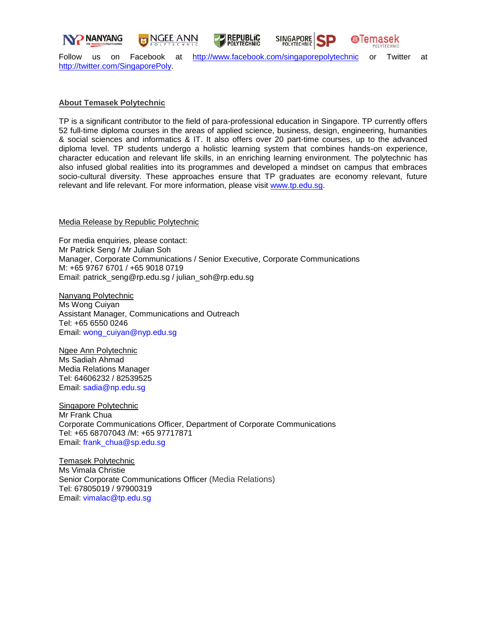

JGEE ANN

**REPUBLIC OLYTECHNIC** 



Follow us on Facebook at <http://www.facebook.com/singaporepolytechnic> or Twitter at [http://twitter.com/SingaporePoly.](http://twitter.com/SingaporePoly)

### **About Temasek Polytechnic**

TP is a significant contributor to the field of para-professional education in Singapore. TP currently offers 52 full-time diploma courses in the areas of applied science, business, design, engineering, humanities & social sciences and informatics & IT. It also offers over 20 part-time courses, up to the advanced diploma level. TP students undergo a holistic learning system that combines hands-on experience, character education and relevant life skills, in an enriching learning environment. The polytechnic has also infused global realities into its programmes and developed a mindset on campus that embraces socio-cultural diversity. These approaches ensure that TP graduates are economy relevant, future relevant and life relevant. For more information, please visit [www.tp.edu.sg.](http://www.tp.edu.sg/)

Media Release by Republic Polytechnic

For media enquiries, please contact: Mr Patrick Seng / Mr Julian Soh Manager, Corporate Communications / Senior Executive, Corporate Communications M: +65 9767 6701 / +65 9018 0719 Email: [patrick\\_seng@rp.edu.sg](mailto:patrick_seng@rp.edu.sg) / [julian\\_soh@rp.edu.sg](mailto:julian_soh@rp.edu.sg)

Nanyang Polytechnic Ms Wong Cuiyan Assistant Manager, Communications and Outreach Tel: +65 6550 0246 Email: [wong\\_cuiyan@nyp.edu.sg](mailto:wong_cuiyan@nyp.edu.sg)

Ngee Ann Polytechnic Ms Sadiah Ahmad Media Relations Manager Tel: 64606232 / 82539525 Email: [sadia@np.edu.sg](mailto:sadia@np.edu.sg)

Singapore Polytechnic Mr Frank Chua Corporate Communications Officer, Department of Corporate Communications Tel: +65 68707043 /M: +65 97717871 Email: [frank\\_chua@sp.edu.sg](mailto:frank_chua@sp.edu.sg)

Temasek Polytechnic Ms Vimala Christie Senior Corporate Communications Officer (Media Relations) Tel: 67805019 / 97900319 Email: [vimalac@tp.edu.sg](mailto:vimalac@tp.edu.sg)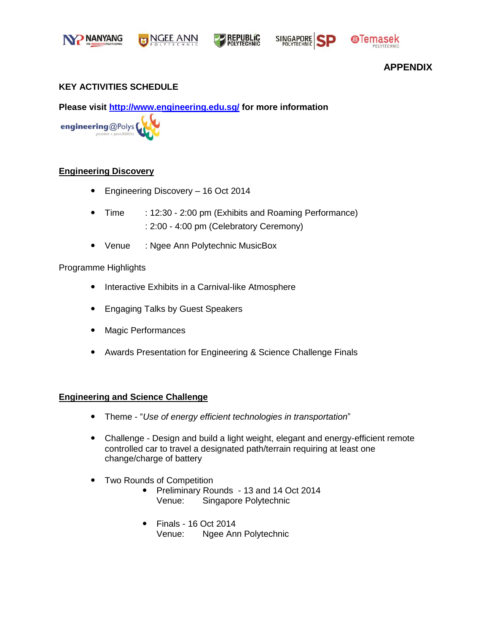



**SINGAPORE** 



## **APPENDIX**

## **KEY ACTIVITIES SCHEDULE**

**Please visit<http://www.engineering.edu.sg/> for more information** 



## **Engineering Discovery**

- Engineering Discovery 16 Oct 2014
- Time : 12:30 2:00 pm (Exhibits and Roaming Performance) : 2:00 - 4:00 pm (Celebratory Ceremony)
- Venue : Ngee Ann Polytechnic MusicBox

## Programme Highlights

- Interactive Exhibits in a Carnival-like Atmosphere
- Engaging Talks by Guest Speakers
- Magic Performances
- Awards Presentation for Engineering & Science Challenge Finals

## **Engineering and Science Challenge**

- Theme "*Use of energy efficient technologies in transportation*"
- Challenge Design and build a light weight, elegant and energy-efficient remote controlled car to travel a designated path/terrain requiring at least one change/charge of battery
- Two Rounds of Competition
	- Preliminary Rounds 13 and 14 Oct 2014 Venue: Singapore Polytechnic
	- Finals 16 Oct 2014 Venue: Ngee Ann Polytechnic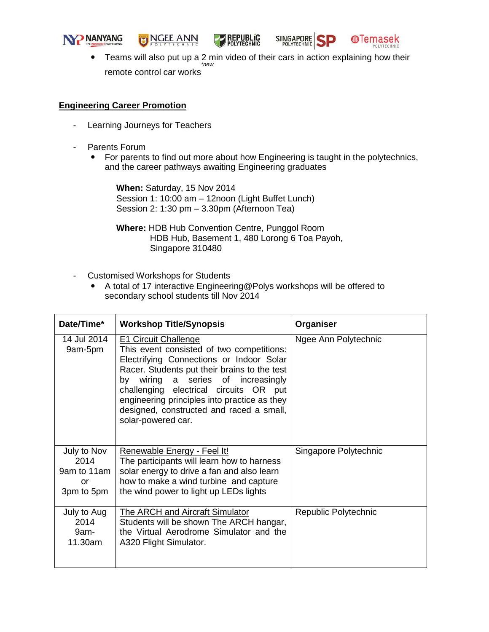

**NGEE ANN** 





• Teams will also put up a 2 min video of their cars in action explaining how their remote control car works *\*new*

## **Engineering Career Promotion**

- Learning Journeys for Teachers
- Parents Forum
	- For parents to find out more about how Engineering is taught in the polytechnics, and the career pathways awaiting Engineering graduates

**When:** Saturday, 15 Nov 2014 Session 1: 10:00 am – 12noon (Light Buffet Lunch) Session 2: 1:30 pm – 3.30pm (Afternoon Tea)

**Where:** HDB Hub Convention Centre, Punggol Room HDB Hub, Basement 1, 480 Lorong 6 Toa Payoh, Singapore 310480

- Customised Workshops for Students
	- A total of 17 interactive Engineering@Polys workshops will be offered to secondary school students till Nov 2014

| Date/Time*                                             | <b>Workshop Title/Synopsis</b>                                                                                                                                                                                                                                                                                                                                         | Organiser             |
|--------------------------------------------------------|------------------------------------------------------------------------------------------------------------------------------------------------------------------------------------------------------------------------------------------------------------------------------------------------------------------------------------------------------------------------|-----------------------|
| 14 Jul 2014<br>9am-5pm                                 | <b>E1 Circuit Challenge</b><br>This event consisted of two competitions:<br>Electrifying Connections or Indoor Solar<br>Racer. Students put their brains to the test<br>by wiring a series of increasingly<br>challenging electrical circuits OR put<br>engineering principles into practice as they<br>designed, constructed and raced a small,<br>solar-powered car. | Ngee Ann Polytechnic  |
| July to Nov<br>2014<br>9am to 11am<br>or<br>3pm to 5pm | Renewable Energy - Feel It!<br>The participants will learn how to harness<br>solar energy to drive a fan and also learn<br>how to make a wind turbine and capture<br>the wind power to light up LEDs lights                                                                                                                                                            | Singapore Polytechnic |
| July to Aug<br>2014<br>9am-<br>11.30am                 | The ARCH and Aircraft Simulator<br>Students will be shown The ARCH hangar,<br>the Virtual Aerodrome Simulator and the<br>A320 Flight Simulator.                                                                                                                                                                                                                        | Republic Polytechnic  |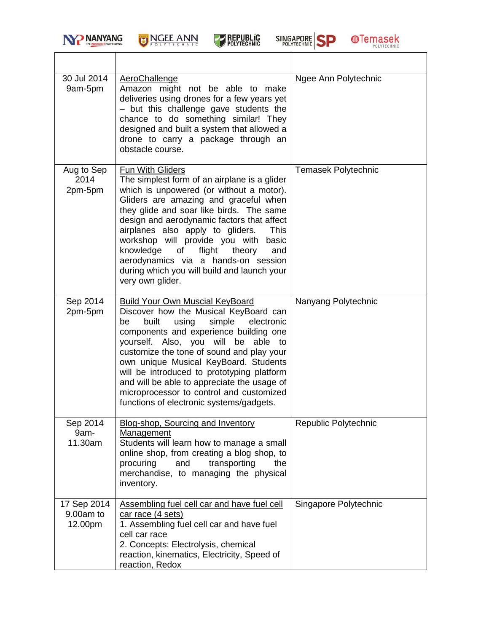

# NGEE ANN







| 30 Jul 2014<br>9am-5pm              | AeroChallenge<br>Amazon might not be able to make<br>deliveries using drones for a few years yet<br>- but this challenge gave students the<br>chance to do something similar! They<br>designed and built a system that allowed a<br>drone to carry a package through an<br>obstacle course.                                                                                                                                                                                                 | Ngee Ann Polytechnic       |
|-------------------------------------|---------------------------------------------------------------------------------------------------------------------------------------------------------------------------------------------------------------------------------------------------------------------------------------------------------------------------------------------------------------------------------------------------------------------------------------------------------------------------------------------|----------------------------|
| Aug to Sep<br>2014<br>2pm-5pm       | Fun With Gliders<br>The simplest form of an airplane is a glider<br>which is unpowered (or without a motor).<br>Gliders are amazing and graceful when<br>they glide and soar like birds. The same<br>design and aerodynamic factors that affect<br>airplanes also apply to gliders.<br>This<br>workshop will provide you with basic<br>knowledge of<br>flight<br>theory<br>and<br>aerodynamics via a hands-on session<br>during which you will build and launch your<br>very own glider.    | <b>Temasek Polytechnic</b> |
| Sep 2014<br>2pm-5pm                 | <b>Build Your Own Muscial KeyBoard</b><br>Discover how the Musical KeyBoard can<br>built<br>using<br>simple<br>electronic<br>be<br>components and experience building one<br>yourself. Also, you will be able to<br>customize the tone of sound and play your<br>own unique Musical KeyBoard. Students<br>will be introduced to prototyping platform<br>and will be able to appreciate the usage of<br>microprocessor to control and customized<br>functions of electronic systems/gadgets. | Nanyang Polytechnic        |
| Sep 2014<br>9am-<br>11.30am         | Blog-shop, Sourcing and Inventory<br>Management<br>Students will learn how to manage a small<br>online shop, from creating a blog shop, to<br>procuring<br>and<br>transporting<br>the<br>merchandise, to managing the physical<br>inventory.                                                                                                                                                                                                                                                | Republic Polytechnic       |
| 17 Sep 2014<br>9.00am to<br>12.00pm | Assembling fuel cell car and have fuel cell<br>car race (4 sets)<br>1. Assembling fuel cell car and have fuel<br>cell car race<br>2. Concepts: Electrolysis, chemical<br>reaction, kinematics, Electricity, Speed of<br>reaction, Redox                                                                                                                                                                                                                                                     | Singapore Polytechnic      |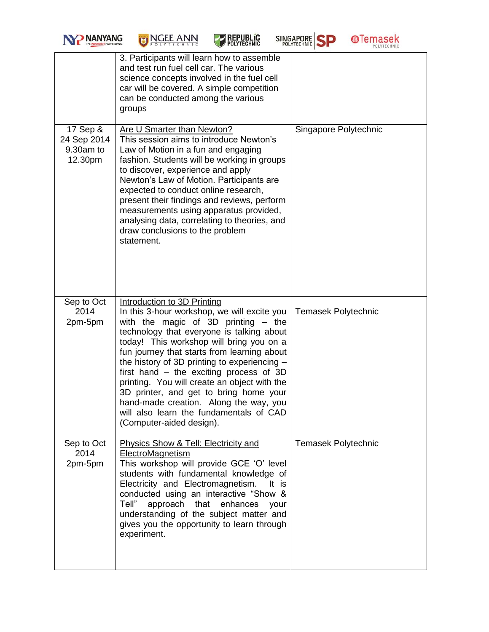| <b>NO NANYANG</b><br>THE INNOVATIVE POLYTECHNIC |
|-------------------------------------------------|
|                                                 |



|                                                 | 3. Participants will learn how to assemble<br>and test run fuel cell car. The various<br>science concepts involved in the fuel cell<br>car will be covered. A simple competition<br>can be conducted among the various<br>groups                                                                                                                                                                                                                                                                                                                                      |                            |
|-------------------------------------------------|-----------------------------------------------------------------------------------------------------------------------------------------------------------------------------------------------------------------------------------------------------------------------------------------------------------------------------------------------------------------------------------------------------------------------------------------------------------------------------------------------------------------------------------------------------------------------|----------------------------|
| 17 Sep &<br>24 Sep 2014<br>9.30am to<br>12.30pm | Are U Smarter than Newton?<br>This session aims to introduce Newton's<br>Law of Motion in a fun and engaging<br>fashion. Students will be working in groups<br>to discover, experience and apply<br>Newton's Law of Motion. Participants are<br>expected to conduct online research,<br>present their findings and reviews, perform<br>measurements using apparatus provided,<br>analysing data, correlating to theories, and<br>draw conclusions to the problem<br>statement.                                                                                        | Singapore Polytechnic      |
| Sep to Oct<br>2014<br>2pm-5pm                   | Introduction to 3D Printing<br>In this 3-hour workshop, we will excite you<br>with the magic of $3D$ printing $-$ the<br>technology that everyone is talking about<br>today! This workshop will bring you on a<br>fun journey that starts from learning about<br>the history of 3D printing to experiencing -<br>first hand $-$ the exciting process of 3D<br>printing. You will create an object with the<br>3D printer, and get to bring home your<br>hand-made creation. Along the way, you<br>will also learn the fundamentals of CAD<br>(Computer-aided design). | <b>Temasek Polytechnic</b> |
| Sep to Oct<br>2014<br>2pm-5pm                   | Physics Show & Tell: Electricity and<br>ElectroMagnetism<br>This workshop will provide GCE 'O' level<br>students with fundamental knowledge of<br>Electricity and Electromagnetism.<br>It is<br>conducted using an interactive "Show &<br>Tell"<br>approach that enhances<br>your<br>understanding of the subject matter and<br>gives you the opportunity to learn through<br>experiment.                                                                                                                                                                             | <b>Temasek Polytechnic</b> |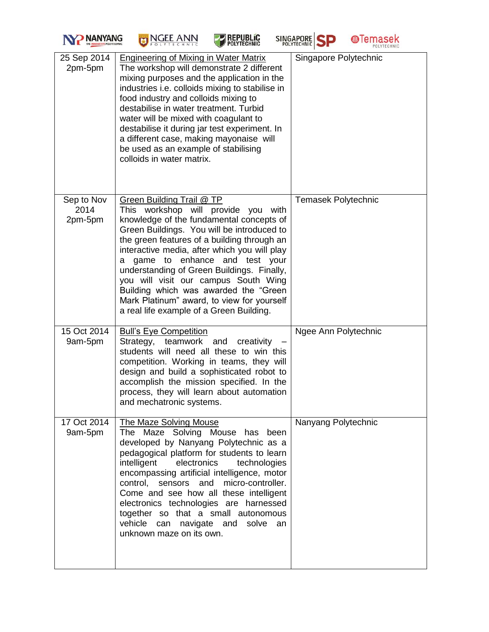



**REPUBLIC**<br>POLYTECHNIC





| 25 Sep 2014<br>2pm-5pm        | <b>Engineering of Mixing in Water Matrix</b><br>The workshop will demonstrate 2 different<br>mixing purposes and the application in the<br>industries i.e. colloids mixing to stabilise in<br>food industry and colloids mixing to<br>destabilise in water treatment. Turbid<br>water will be mixed with coagulant to<br>destabilise it during jar test experiment. In<br>a different case, making mayonaise will<br>be used as an example of stabilising<br>colloids in water matrix.                                        | Singapore Polytechnic      |
|-------------------------------|-------------------------------------------------------------------------------------------------------------------------------------------------------------------------------------------------------------------------------------------------------------------------------------------------------------------------------------------------------------------------------------------------------------------------------------------------------------------------------------------------------------------------------|----------------------------|
| Sep to Nov<br>2014<br>2pm-5pm | <b>Green Building Trail @ TP</b><br>This workshop will provide you with<br>knowledge of the fundamental concepts of<br>Green Buildings. You will be introduced to<br>the green features of a building through an<br>interactive media, after which you will play<br>a game to enhance and test your<br>understanding of Green Buildings. Finally,<br>you will visit our campus South Wing<br>Building which was awarded the "Green"<br>Mark Platinum" award, to view for yourself<br>a real life example of a Green Building. | <b>Temasek Polytechnic</b> |
| 15 Oct 2014<br>9am-5pm        | <b>Bull's Eye Competition</b><br>Strategy, teamwork and creativity<br>students will need all these to win this<br>competition. Working in teams, they will<br>design and build a sophisticated robot to<br>accomplish the mission specified. In the<br>process, they will learn about automation<br>and mechatronic systems.                                                                                                                                                                                                  | Ngee Ann Polytechnic       |
| 17 Oct 2014<br>9am-5pm        | <b>The Maze Solving Mouse</b><br>The Maze Solving Mouse has been<br>developed by Nanyang Polytechnic as a<br>pedagogical platform for students to learn<br>intelligent<br>electronics<br>technologies<br>encompassing artificial intelligence, motor<br>micro-controller.<br>control. sensors and<br>Come and see how all these intelligent<br>electronics technologies are harnessed<br>together so that a small autonomous<br>vehicle<br>can navigate<br>and<br>solve<br>an<br>unknown maze on its own.                     | Nanyang Polytechnic        |